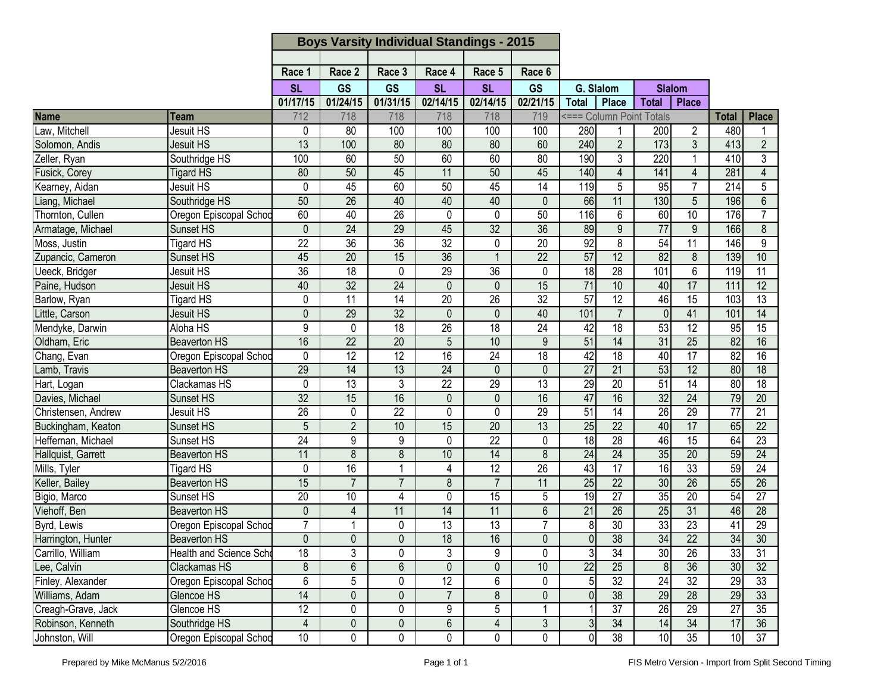| Race <sub>2</sub><br>Race 5<br>Race 6<br>Race 1<br>Race 3<br>Race 4<br><b>GS</b><br><b>GS</b><br><b>GS</b><br><b>SL</b><br><b>SL</b><br><b>SL</b><br>G. Slalom<br><b>Slalom</b><br>01/17/15<br>01/24/15<br>01/31/15<br>02/14/15<br>02/14/15<br>02/21/15<br>Place<br><b>Total</b><br><b>Total</b><br><b>Place</b><br><b>Name</b><br>712<br>718<br>718<br>718<br>718<br>719<br><=== Column Point Totals<br><b>Place</b><br><b>Total</b><br>Team<br>Jesuit HS<br>0<br>80<br>100<br>100<br>280<br>480<br>Law, Mitchell<br>100<br>100<br>200<br>$\overline{2}$<br>1<br>1<br>$\overline{2}$<br>Solomon, Andis<br>$\overline{13}$<br>80<br>80<br>60<br>240<br>$\overline{2}$<br>$\overline{173}$<br>$\mathfrak{Z}$<br><b>Jesuit HS</b><br>100<br>80<br>413<br>190<br>Zeller, Ryan<br>60<br>60<br>3<br>220<br>410<br>3<br>100<br>60<br>50<br>80<br>$\overline{1}$<br>Southridge HS<br>Fusick, Corey<br>50<br>45<br>$\overline{11}$<br>50<br>45<br>140<br>$\overline{4}$<br>141<br>281<br>$\overline{4}$<br>80<br>$\overline{4}$<br><b>Tigard HS</b><br>Kearney, Aidan<br>45<br>50<br>45<br>$\overline{14}$<br>119<br>5<br>95<br>$\overline{7}$<br>$\overline{214}$<br>5<br>Jesuit HS<br>0<br>60<br>50<br>$\overline{26}$<br>40<br>40<br>40<br>66<br>11<br>130<br>$5\phantom{.0}$<br>196<br>$6\,$<br>Southridge HS<br>$\mathbf{0}$<br>60<br>40<br>$\overline{26}$<br>0<br>50<br>116<br>6<br>60<br>10<br>176<br>0<br>$\overline{7}$<br>Oregon Episcopal Schod<br>$\overline{9}$<br>$\overline{77}$<br>0<br>$\overline{24}$<br>29<br>45<br>$\overline{32}$<br>$\overline{36}$<br>89<br>9<br>166<br>$\,8\,$<br>Sunset HS<br>$\overline{22}$<br>36<br>32<br>92<br>$\overline{8}$<br>54<br>11<br>$\overline{9}$<br>$\overline{36}$<br>$\overline{20}$<br>146<br><b>Tigard HS</b><br>0<br>20<br>36<br>$\overline{22}$<br>57<br>12<br>82<br>139<br>10<br>45<br>15<br>$\mathbf{1}$<br>8<br>Sunset HS<br>$\overline{36}$<br>$\overline{18}$<br>29<br>$\overline{36}$<br>$\frac{1}{8}$<br>$\overline{28}$<br>101<br>6<br>119<br>$\overline{11}$<br>$\mathbf 0$<br>0<br>Ueeck, Bridger<br>Jesuit HS<br>40<br>32<br>24<br>15<br>$\overline{71}$<br>10<br>17<br>12<br>40<br>111<br>$\mathbf{0}$<br>$\mathbf{0}$<br>Jesuit HS<br>57<br>12<br>$\overline{11}$<br>$\overline{14}$<br>$\overline{20}$<br>$\overline{26}$<br>$\overline{32}$<br>46<br>$\overline{15}$<br>103<br>$\overline{13}$<br>0<br><b>Tigard HS</b><br>$\mathbf 0$<br>32<br>101<br>$\overline{7}$<br>41<br>$\overline{14}$<br>29<br>0<br>40<br>101<br><b>Jesuit HS</b><br>$\mathbf{0}$<br>$\Omega$<br>$\overline{9}$<br>26<br>18<br>53<br>12<br>15<br>Mendyke, Darwin<br>$\overline{18}$<br>$\overline{24}$<br>42<br>95<br>Aloha HS<br>$\Omega$<br>18<br>$\overline{51}$<br>$\overline{14}$<br>82<br>Oldham, Eric<br>16<br>22<br>20<br>5<br>10<br>9<br>31<br>25<br>16<br><b>Beaverton HS</b><br>Chang, Evan<br>42<br>$\overline{18}$<br>40<br>$\overline{17}$<br>$\overline{82}$<br>12<br>12<br>16<br>24<br>18<br>16<br>Oregon Episcopal Schoo<br>0<br>$\overline{27}$<br>Lamb, Travis<br>29<br>14<br>24<br>21<br>53<br>12<br>80<br><b>Beaverton HS</b><br>13<br>$\overline{18}$<br>0<br>$\mathbf{0}$<br>29<br>$\overline{22}$<br>80<br>Hart, Logan<br>0<br>$\overline{13}$<br>3<br>$\overline{29}$<br>$\overline{13}$<br>$\overline{20}$<br>$\overline{51}$<br>$\overline{14}$<br>$\overline{18}$<br>Clackamas HS<br>$\overline{32}$<br>15<br>16<br>16<br>47<br>16<br>32<br>$\overline{24}$<br>79<br>$\overline{20}$<br>Davies, Michael<br>0<br>Sunset HS<br>0<br>Christensen, Andrew<br>51<br>26<br>$\overline{0}$<br>$\overline{22}$<br>$\overline{0}$<br>$\overline{0}$<br>29<br>14<br>26<br>29<br>$\overline{77}$<br>$\overline{21}$<br>Jesuit HS<br>25<br>17<br>$\overline{2}$<br>15<br>$\overline{20}$<br>13<br>$\overline{22}$<br>40<br>65<br>$\overline{22}$<br>Sunset HS<br>5<br>10<br>Buckingham, Keaton<br>$\overline{24}$<br>9<br>$\overline{28}$<br>$\overline{15}$<br>$\overline{23}$<br>Heffernan, Michael<br>9<br>0<br>22<br>0<br>18<br>46<br>64<br>Sunset HS<br>24<br>11<br>$\overline{8}$<br>14<br>24<br>35<br>20<br>59<br>24<br>8<br>10<br>8<br><b>Beaverton HS</b><br>Hallquist, Garrett<br>33<br>43<br>24<br>16<br>$\overline{12}$<br>$\overline{26}$<br>$\overline{17}$<br>$\overline{16}$<br>59<br>Mills, Tyler<br>0<br>1<br><b>Tigard HS</b><br>4<br>15<br>$\overline{25}$<br>$\overline{26}$<br>Keller, Bailey<br>$\overline{7}$<br>$\overline{7}$<br>8<br>$\overline{7}$<br>22<br>30<br>55<br>26<br><b>Beaverton HS</b><br>11<br>Bigio, Marco<br>20<br>15<br>19<br>$\overline{27}$<br>35<br>20<br>54<br>$\overline{27}$<br>10<br>0<br>5<br>Sunset HS<br>4<br>Viehoff, Ben<br>$\overline{14}$<br>11<br>$6\phantom{1}$<br>$\overline{21}$<br>$\overline{26}$<br>25<br>31<br><b>Beaverton HS</b><br>0<br>4<br>11<br>46<br>28<br>$\overline{7}$<br>30<br>33<br>23<br>Byrd, Lewis<br>$\overline{13}$<br>$\overline{13}$<br>7<br>29<br>0<br>8<br>41<br>Oregon Episcopal Schoo<br>Harrington, Hunter<br>$\overline{38}$<br>$\overline{22}$<br>$\overline{0}$<br>18<br>16<br> 0 <br>34<br>34<br>30<br><b>Beaverton HS</b><br>$\overline{0}$<br>$\overline{0}$<br>$\overline{0}$<br>$\overline{3}$<br>33<br>3<br>9<br>$\overline{34}$<br>30<br>$\overline{26}$<br>31<br>Carrillo, William<br>18<br>0<br>3<br>$\Omega$<br><b>Health and Science Scho</b><br>$\overline{22}$<br>8<br>$6\phantom{.}$<br>6<br>$\mathbf 0$<br>$\overline{25}$<br>$\overline{36}$<br>30<br>$\overline{32}$<br>Lee, Calvin<br>0<br>10<br>8 <sup>1</sup><br>Clackamas HS<br>Finley, Alexander<br>6<br>6<br>32<br>24<br>32<br>29<br>Oregon Episcopal Schoo<br>5<br>12<br>5 <sub>l</sub><br>33<br>0<br>0<br>14<br>$\overline{7}$<br>8<br>$\overline{38}$<br>29<br>$\overline{28}$<br>29<br>33<br>0<br>0<br>Williams, Adam<br>Glencoe HS<br>0<br>$\overline{0}$<br>$\overline{12}$<br>5<br>$\overline{37}$<br>26<br>$\overline{27}$<br>$\overline{35}$<br>Glencoe HS<br>0<br>9<br>29<br>Creagh-Grave, Jack<br>0<br>6<br>$\overline{4}$<br>$\overline{4}$<br>3<br>34<br>17<br>36<br>Robinson, Kenneth<br>Southridge HS<br>0<br>$\pmb{0}$<br>3<br>34<br>14<br>10 |                   |                        | <b>Boys Varsity Individual Standings - 2015</b> |   |   |   |   |   |                |                 |    |                 |    |
|-------------------------------------------------------------------------------------------------------------------------------------------------------------------------------------------------------------------------------------------------------------------------------------------------------------------------------------------------------------------------------------------------------------------------------------------------------------------------------------------------------------------------------------------------------------------------------------------------------------------------------------------------------------------------------------------------------------------------------------------------------------------------------------------------------------------------------------------------------------------------------------------------------------------------------------------------------------------------------------------------------------------------------------------------------------------------------------------------------------------------------------------------------------------------------------------------------------------------------------------------------------------------------------------------------------------------------------------------------------------------------------------------------------------------------------------------------------------------------------------------------------------------------------------------------------------------------------------------------------------------------------------------------------------------------------------------------------------------------------------------------------------------------------------------------------------------------------------------------------------------------------------------------------------------------------------------------------------------------------------------------------------------------------------------------------------------------------------------------------------------------------------------------------------------------------------------------------------------------------------------------------------------------------------------------------------------------------------------------------------------------------------------------------------------------------------------------------------------------------------------------------------------------------------------------------------------------------------------------------------------------------------------------------------------------------------------------------------------------------------------------------------------------------------------------------------------------------------------------------------------------------------------------------------------------------------------------------------------------------------------------------------------------------------------------------------------------------------------------------------------------------------------------------------------------------------------------------------------------------------------------------------------------------------------------------------------------------------------------------------------------------------------------------------------------------------------------------------------------------------------------------------------------------------------------------------------------------------------------------------------------------------------------------------------------------------------------------------------------------------------------------------------------------------------------------------------------------------------------------------------------------------------------------------------------------------------------------------------------------------------------------------------------------------------------------------------------------------------------------------------------------------------------------------------------------------------------------------------------------------------------------------------------------------------------------------------------------------------------------------------------------------------------------------------------------------------------------------------------------------------------------------------------------------------------------------------------------------------------------------------------------------------------------------------------------------------------------------------------------------------------------------------------------------------------------------------------------------------------------------------------------------------------------------------------------------------------------------------------------------------------------------------------------------------------------------------------------------------------------------------------------------------------------------------------------------------------------------------------------------------------------------------------------------------------------------------------------------------------------------------------------------------------------------------------------------------------------------------------------------------------------------------------------------------------------------------------------------------------------------------------------------------------------------------------------------------------------------------------------------------------------------------------------------------------------------------------------------------------------------------------------------------------------------------------------------------------------------------------------------------------------------------------------------------------------------------------------------------|-------------------|------------------------|-------------------------------------------------|---|---|---|---|---|----------------|-----------------|----|-----------------|----|
|                                                                                                                                                                                                                                                                                                                                                                                                                                                                                                                                                                                                                                                                                                                                                                                                                                                                                                                                                                                                                                                                                                                                                                                                                                                                                                                                                                                                                                                                                                                                                                                                                                                                                                                                                                                                                                                                                                                                                                                                                                                                                                                                                                                                                                                                                                                                                                                                                                                                                                                                                                                                                                                                                                                                                                                                                                                                                                                                                                                                                                                                                                                                                                                                                                                                                                                                                                                                                                                                                                                                                                                                                                                                                                                                                                                                                                                                                                                                                                                                                                                                                                                                                                                                                                                                                                                                                                                                                                                                                                                                                                                                                                                                                                                                                                                                                                                                                                                                                                                                                                                                                                                                                                                                                                                                                                                                                                                                                                                                                                                                                                                                                                                                                                                                                                                                                                                                                                                                                                                                                                                                                                 |                   |                        |                                                 |   |   |   |   |   |                |                 |    |                 |    |
|                                                                                                                                                                                                                                                                                                                                                                                                                                                                                                                                                                                                                                                                                                                                                                                                                                                                                                                                                                                                                                                                                                                                                                                                                                                                                                                                                                                                                                                                                                                                                                                                                                                                                                                                                                                                                                                                                                                                                                                                                                                                                                                                                                                                                                                                                                                                                                                                                                                                                                                                                                                                                                                                                                                                                                                                                                                                                                                                                                                                                                                                                                                                                                                                                                                                                                                                                                                                                                                                                                                                                                                                                                                                                                                                                                                                                                                                                                                                                                                                                                                                                                                                                                                                                                                                                                                                                                                                                                                                                                                                                                                                                                                                                                                                                                                                                                                                                                                                                                                                                                                                                                                                                                                                                                                                                                                                                                                                                                                                                                                                                                                                                                                                                                                                                                                                                                                                                                                                                                                                                                                                                                 |                   |                        |                                                 |   |   |   |   |   |                |                 |    |                 |    |
|                                                                                                                                                                                                                                                                                                                                                                                                                                                                                                                                                                                                                                                                                                                                                                                                                                                                                                                                                                                                                                                                                                                                                                                                                                                                                                                                                                                                                                                                                                                                                                                                                                                                                                                                                                                                                                                                                                                                                                                                                                                                                                                                                                                                                                                                                                                                                                                                                                                                                                                                                                                                                                                                                                                                                                                                                                                                                                                                                                                                                                                                                                                                                                                                                                                                                                                                                                                                                                                                                                                                                                                                                                                                                                                                                                                                                                                                                                                                                                                                                                                                                                                                                                                                                                                                                                                                                                                                                                                                                                                                                                                                                                                                                                                                                                                                                                                                                                                                                                                                                                                                                                                                                                                                                                                                                                                                                                                                                                                                                                                                                                                                                                                                                                                                                                                                                                                                                                                                                                                                                                                                                                 |                   |                        |                                                 |   |   |   |   |   |                |                 |    |                 |    |
|                                                                                                                                                                                                                                                                                                                                                                                                                                                                                                                                                                                                                                                                                                                                                                                                                                                                                                                                                                                                                                                                                                                                                                                                                                                                                                                                                                                                                                                                                                                                                                                                                                                                                                                                                                                                                                                                                                                                                                                                                                                                                                                                                                                                                                                                                                                                                                                                                                                                                                                                                                                                                                                                                                                                                                                                                                                                                                                                                                                                                                                                                                                                                                                                                                                                                                                                                                                                                                                                                                                                                                                                                                                                                                                                                                                                                                                                                                                                                                                                                                                                                                                                                                                                                                                                                                                                                                                                                                                                                                                                                                                                                                                                                                                                                                                                                                                                                                                                                                                                                                                                                                                                                                                                                                                                                                                                                                                                                                                                                                                                                                                                                                                                                                                                                                                                                                                                                                                                                                                                                                                                                                 |                   |                        |                                                 |   |   |   |   |   |                |                 |    |                 |    |
|                                                                                                                                                                                                                                                                                                                                                                                                                                                                                                                                                                                                                                                                                                                                                                                                                                                                                                                                                                                                                                                                                                                                                                                                                                                                                                                                                                                                                                                                                                                                                                                                                                                                                                                                                                                                                                                                                                                                                                                                                                                                                                                                                                                                                                                                                                                                                                                                                                                                                                                                                                                                                                                                                                                                                                                                                                                                                                                                                                                                                                                                                                                                                                                                                                                                                                                                                                                                                                                                                                                                                                                                                                                                                                                                                                                                                                                                                                                                                                                                                                                                                                                                                                                                                                                                                                                                                                                                                                                                                                                                                                                                                                                                                                                                                                                                                                                                                                                                                                                                                                                                                                                                                                                                                                                                                                                                                                                                                                                                                                                                                                                                                                                                                                                                                                                                                                                                                                                                                                                                                                                                                                 |                   |                        |                                                 |   |   |   |   |   |                |                 |    |                 |    |
|                                                                                                                                                                                                                                                                                                                                                                                                                                                                                                                                                                                                                                                                                                                                                                                                                                                                                                                                                                                                                                                                                                                                                                                                                                                                                                                                                                                                                                                                                                                                                                                                                                                                                                                                                                                                                                                                                                                                                                                                                                                                                                                                                                                                                                                                                                                                                                                                                                                                                                                                                                                                                                                                                                                                                                                                                                                                                                                                                                                                                                                                                                                                                                                                                                                                                                                                                                                                                                                                                                                                                                                                                                                                                                                                                                                                                                                                                                                                                                                                                                                                                                                                                                                                                                                                                                                                                                                                                                                                                                                                                                                                                                                                                                                                                                                                                                                                                                                                                                                                                                                                                                                                                                                                                                                                                                                                                                                                                                                                                                                                                                                                                                                                                                                                                                                                                                                                                                                                                                                                                                                                                                 |                   |                        |                                                 |   |   |   |   |   |                |                 |    |                 |    |
|                                                                                                                                                                                                                                                                                                                                                                                                                                                                                                                                                                                                                                                                                                                                                                                                                                                                                                                                                                                                                                                                                                                                                                                                                                                                                                                                                                                                                                                                                                                                                                                                                                                                                                                                                                                                                                                                                                                                                                                                                                                                                                                                                                                                                                                                                                                                                                                                                                                                                                                                                                                                                                                                                                                                                                                                                                                                                                                                                                                                                                                                                                                                                                                                                                                                                                                                                                                                                                                                                                                                                                                                                                                                                                                                                                                                                                                                                                                                                                                                                                                                                                                                                                                                                                                                                                                                                                                                                                                                                                                                                                                                                                                                                                                                                                                                                                                                                                                                                                                                                                                                                                                                                                                                                                                                                                                                                                                                                                                                                                                                                                                                                                                                                                                                                                                                                                                                                                                                                                                                                                                                                                 |                   |                        |                                                 |   |   |   |   |   |                |                 |    |                 |    |
|                                                                                                                                                                                                                                                                                                                                                                                                                                                                                                                                                                                                                                                                                                                                                                                                                                                                                                                                                                                                                                                                                                                                                                                                                                                                                                                                                                                                                                                                                                                                                                                                                                                                                                                                                                                                                                                                                                                                                                                                                                                                                                                                                                                                                                                                                                                                                                                                                                                                                                                                                                                                                                                                                                                                                                                                                                                                                                                                                                                                                                                                                                                                                                                                                                                                                                                                                                                                                                                                                                                                                                                                                                                                                                                                                                                                                                                                                                                                                                                                                                                                                                                                                                                                                                                                                                                                                                                                                                                                                                                                                                                                                                                                                                                                                                                                                                                                                                                                                                                                                                                                                                                                                                                                                                                                                                                                                                                                                                                                                                                                                                                                                                                                                                                                                                                                                                                                                                                                                                                                                                                                                                 |                   |                        |                                                 |   |   |   |   |   |                |                 |    |                 |    |
|                                                                                                                                                                                                                                                                                                                                                                                                                                                                                                                                                                                                                                                                                                                                                                                                                                                                                                                                                                                                                                                                                                                                                                                                                                                                                                                                                                                                                                                                                                                                                                                                                                                                                                                                                                                                                                                                                                                                                                                                                                                                                                                                                                                                                                                                                                                                                                                                                                                                                                                                                                                                                                                                                                                                                                                                                                                                                                                                                                                                                                                                                                                                                                                                                                                                                                                                                                                                                                                                                                                                                                                                                                                                                                                                                                                                                                                                                                                                                                                                                                                                                                                                                                                                                                                                                                                                                                                                                                                                                                                                                                                                                                                                                                                                                                                                                                                                                                                                                                                                                                                                                                                                                                                                                                                                                                                                                                                                                                                                                                                                                                                                                                                                                                                                                                                                                                                                                                                                                                                                                                                                                                 |                   |                        |                                                 |   |   |   |   |   |                |                 |    |                 |    |
|                                                                                                                                                                                                                                                                                                                                                                                                                                                                                                                                                                                                                                                                                                                                                                                                                                                                                                                                                                                                                                                                                                                                                                                                                                                                                                                                                                                                                                                                                                                                                                                                                                                                                                                                                                                                                                                                                                                                                                                                                                                                                                                                                                                                                                                                                                                                                                                                                                                                                                                                                                                                                                                                                                                                                                                                                                                                                                                                                                                                                                                                                                                                                                                                                                                                                                                                                                                                                                                                                                                                                                                                                                                                                                                                                                                                                                                                                                                                                                                                                                                                                                                                                                                                                                                                                                                                                                                                                                                                                                                                                                                                                                                                                                                                                                                                                                                                                                                                                                                                                                                                                                                                                                                                                                                                                                                                                                                                                                                                                                                                                                                                                                                                                                                                                                                                                                                                                                                                                                                                                                                                                                 |                   |                        |                                                 |   |   |   |   |   |                |                 |    |                 |    |
|                                                                                                                                                                                                                                                                                                                                                                                                                                                                                                                                                                                                                                                                                                                                                                                                                                                                                                                                                                                                                                                                                                                                                                                                                                                                                                                                                                                                                                                                                                                                                                                                                                                                                                                                                                                                                                                                                                                                                                                                                                                                                                                                                                                                                                                                                                                                                                                                                                                                                                                                                                                                                                                                                                                                                                                                                                                                                                                                                                                                                                                                                                                                                                                                                                                                                                                                                                                                                                                                                                                                                                                                                                                                                                                                                                                                                                                                                                                                                                                                                                                                                                                                                                                                                                                                                                                                                                                                                                                                                                                                                                                                                                                                                                                                                                                                                                                                                                                                                                                                                                                                                                                                                                                                                                                                                                                                                                                                                                                                                                                                                                                                                                                                                                                                                                                                                                                                                                                                                                                                                                                                                                 | Liang, Michael    |                        |                                                 |   |   |   |   |   |                |                 |    |                 |    |
|                                                                                                                                                                                                                                                                                                                                                                                                                                                                                                                                                                                                                                                                                                                                                                                                                                                                                                                                                                                                                                                                                                                                                                                                                                                                                                                                                                                                                                                                                                                                                                                                                                                                                                                                                                                                                                                                                                                                                                                                                                                                                                                                                                                                                                                                                                                                                                                                                                                                                                                                                                                                                                                                                                                                                                                                                                                                                                                                                                                                                                                                                                                                                                                                                                                                                                                                                                                                                                                                                                                                                                                                                                                                                                                                                                                                                                                                                                                                                                                                                                                                                                                                                                                                                                                                                                                                                                                                                                                                                                                                                                                                                                                                                                                                                                                                                                                                                                                                                                                                                                                                                                                                                                                                                                                                                                                                                                                                                                                                                                                                                                                                                                                                                                                                                                                                                                                                                                                                                                                                                                                                                                 | Thornton, Cullen  |                        |                                                 |   |   |   |   |   |                |                 |    |                 |    |
|                                                                                                                                                                                                                                                                                                                                                                                                                                                                                                                                                                                                                                                                                                                                                                                                                                                                                                                                                                                                                                                                                                                                                                                                                                                                                                                                                                                                                                                                                                                                                                                                                                                                                                                                                                                                                                                                                                                                                                                                                                                                                                                                                                                                                                                                                                                                                                                                                                                                                                                                                                                                                                                                                                                                                                                                                                                                                                                                                                                                                                                                                                                                                                                                                                                                                                                                                                                                                                                                                                                                                                                                                                                                                                                                                                                                                                                                                                                                                                                                                                                                                                                                                                                                                                                                                                                                                                                                                                                                                                                                                                                                                                                                                                                                                                                                                                                                                                                                                                                                                                                                                                                                                                                                                                                                                                                                                                                                                                                                                                                                                                                                                                                                                                                                                                                                                                                                                                                                                                                                                                                                                                 | Armatage, Michael |                        |                                                 |   |   |   |   |   |                |                 |    |                 |    |
|                                                                                                                                                                                                                                                                                                                                                                                                                                                                                                                                                                                                                                                                                                                                                                                                                                                                                                                                                                                                                                                                                                                                                                                                                                                                                                                                                                                                                                                                                                                                                                                                                                                                                                                                                                                                                                                                                                                                                                                                                                                                                                                                                                                                                                                                                                                                                                                                                                                                                                                                                                                                                                                                                                                                                                                                                                                                                                                                                                                                                                                                                                                                                                                                                                                                                                                                                                                                                                                                                                                                                                                                                                                                                                                                                                                                                                                                                                                                                                                                                                                                                                                                                                                                                                                                                                                                                                                                                                                                                                                                                                                                                                                                                                                                                                                                                                                                                                                                                                                                                                                                                                                                                                                                                                                                                                                                                                                                                                                                                                                                                                                                                                                                                                                                                                                                                                                                                                                                                                                                                                                                                                 | Moss, Justin      |                        |                                                 |   |   |   |   |   |                |                 |    |                 |    |
|                                                                                                                                                                                                                                                                                                                                                                                                                                                                                                                                                                                                                                                                                                                                                                                                                                                                                                                                                                                                                                                                                                                                                                                                                                                                                                                                                                                                                                                                                                                                                                                                                                                                                                                                                                                                                                                                                                                                                                                                                                                                                                                                                                                                                                                                                                                                                                                                                                                                                                                                                                                                                                                                                                                                                                                                                                                                                                                                                                                                                                                                                                                                                                                                                                                                                                                                                                                                                                                                                                                                                                                                                                                                                                                                                                                                                                                                                                                                                                                                                                                                                                                                                                                                                                                                                                                                                                                                                                                                                                                                                                                                                                                                                                                                                                                                                                                                                                                                                                                                                                                                                                                                                                                                                                                                                                                                                                                                                                                                                                                                                                                                                                                                                                                                                                                                                                                                                                                                                                                                                                                                                                 | Zupancic, Cameron |                        |                                                 |   |   |   |   |   |                |                 |    |                 |    |
|                                                                                                                                                                                                                                                                                                                                                                                                                                                                                                                                                                                                                                                                                                                                                                                                                                                                                                                                                                                                                                                                                                                                                                                                                                                                                                                                                                                                                                                                                                                                                                                                                                                                                                                                                                                                                                                                                                                                                                                                                                                                                                                                                                                                                                                                                                                                                                                                                                                                                                                                                                                                                                                                                                                                                                                                                                                                                                                                                                                                                                                                                                                                                                                                                                                                                                                                                                                                                                                                                                                                                                                                                                                                                                                                                                                                                                                                                                                                                                                                                                                                                                                                                                                                                                                                                                                                                                                                                                                                                                                                                                                                                                                                                                                                                                                                                                                                                                                                                                                                                                                                                                                                                                                                                                                                                                                                                                                                                                                                                                                                                                                                                                                                                                                                                                                                                                                                                                                                                                                                                                                                                                 |                   |                        |                                                 |   |   |   |   |   |                |                 |    |                 |    |
|                                                                                                                                                                                                                                                                                                                                                                                                                                                                                                                                                                                                                                                                                                                                                                                                                                                                                                                                                                                                                                                                                                                                                                                                                                                                                                                                                                                                                                                                                                                                                                                                                                                                                                                                                                                                                                                                                                                                                                                                                                                                                                                                                                                                                                                                                                                                                                                                                                                                                                                                                                                                                                                                                                                                                                                                                                                                                                                                                                                                                                                                                                                                                                                                                                                                                                                                                                                                                                                                                                                                                                                                                                                                                                                                                                                                                                                                                                                                                                                                                                                                                                                                                                                                                                                                                                                                                                                                                                                                                                                                                                                                                                                                                                                                                                                                                                                                                                                                                                                                                                                                                                                                                                                                                                                                                                                                                                                                                                                                                                                                                                                                                                                                                                                                                                                                                                                                                                                                                                                                                                                                                                 | Paine, Hudson     |                        |                                                 |   |   |   |   |   |                |                 |    |                 |    |
|                                                                                                                                                                                                                                                                                                                                                                                                                                                                                                                                                                                                                                                                                                                                                                                                                                                                                                                                                                                                                                                                                                                                                                                                                                                                                                                                                                                                                                                                                                                                                                                                                                                                                                                                                                                                                                                                                                                                                                                                                                                                                                                                                                                                                                                                                                                                                                                                                                                                                                                                                                                                                                                                                                                                                                                                                                                                                                                                                                                                                                                                                                                                                                                                                                                                                                                                                                                                                                                                                                                                                                                                                                                                                                                                                                                                                                                                                                                                                                                                                                                                                                                                                                                                                                                                                                                                                                                                                                                                                                                                                                                                                                                                                                                                                                                                                                                                                                                                                                                                                                                                                                                                                                                                                                                                                                                                                                                                                                                                                                                                                                                                                                                                                                                                                                                                                                                                                                                                                                                                                                                                                                 | Barlow, Ryan      |                        |                                                 |   |   |   |   |   |                |                 |    |                 |    |
|                                                                                                                                                                                                                                                                                                                                                                                                                                                                                                                                                                                                                                                                                                                                                                                                                                                                                                                                                                                                                                                                                                                                                                                                                                                                                                                                                                                                                                                                                                                                                                                                                                                                                                                                                                                                                                                                                                                                                                                                                                                                                                                                                                                                                                                                                                                                                                                                                                                                                                                                                                                                                                                                                                                                                                                                                                                                                                                                                                                                                                                                                                                                                                                                                                                                                                                                                                                                                                                                                                                                                                                                                                                                                                                                                                                                                                                                                                                                                                                                                                                                                                                                                                                                                                                                                                                                                                                                                                                                                                                                                                                                                                                                                                                                                                                                                                                                                                                                                                                                                                                                                                                                                                                                                                                                                                                                                                                                                                                                                                                                                                                                                                                                                                                                                                                                                                                                                                                                                                                                                                                                                                 | Little, Carson    |                        |                                                 |   |   |   |   |   |                |                 |    |                 |    |
|                                                                                                                                                                                                                                                                                                                                                                                                                                                                                                                                                                                                                                                                                                                                                                                                                                                                                                                                                                                                                                                                                                                                                                                                                                                                                                                                                                                                                                                                                                                                                                                                                                                                                                                                                                                                                                                                                                                                                                                                                                                                                                                                                                                                                                                                                                                                                                                                                                                                                                                                                                                                                                                                                                                                                                                                                                                                                                                                                                                                                                                                                                                                                                                                                                                                                                                                                                                                                                                                                                                                                                                                                                                                                                                                                                                                                                                                                                                                                                                                                                                                                                                                                                                                                                                                                                                                                                                                                                                                                                                                                                                                                                                                                                                                                                                                                                                                                                                                                                                                                                                                                                                                                                                                                                                                                                                                                                                                                                                                                                                                                                                                                                                                                                                                                                                                                                                                                                                                                                                                                                                                                                 |                   |                        |                                                 |   |   |   |   |   |                |                 |    |                 |    |
|                                                                                                                                                                                                                                                                                                                                                                                                                                                                                                                                                                                                                                                                                                                                                                                                                                                                                                                                                                                                                                                                                                                                                                                                                                                                                                                                                                                                                                                                                                                                                                                                                                                                                                                                                                                                                                                                                                                                                                                                                                                                                                                                                                                                                                                                                                                                                                                                                                                                                                                                                                                                                                                                                                                                                                                                                                                                                                                                                                                                                                                                                                                                                                                                                                                                                                                                                                                                                                                                                                                                                                                                                                                                                                                                                                                                                                                                                                                                                                                                                                                                                                                                                                                                                                                                                                                                                                                                                                                                                                                                                                                                                                                                                                                                                                                                                                                                                                                                                                                                                                                                                                                                                                                                                                                                                                                                                                                                                                                                                                                                                                                                                                                                                                                                                                                                                                                                                                                                                                                                                                                                                                 |                   |                        |                                                 |   |   |   |   |   |                |                 |    |                 |    |
|                                                                                                                                                                                                                                                                                                                                                                                                                                                                                                                                                                                                                                                                                                                                                                                                                                                                                                                                                                                                                                                                                                                                                                                                                                                                                                                                                                                                                                                                                                                                                                                                                                                                                                                                                                                                                                                                                                                                                                                                                                                                                                                                                                                                                                                                                                                                                                                                                                                                                                                                                                                                                                                                                                                                                                                                                                                                                                                                                                                                                                                                                                                                                                                                                                                                                                                                                                                                                                                                                                                                                                                                                                                                                                                                                                                                                                                                                                                                                                                                                                                                                                                                                                                                                                                                                                                                                                                                                                                                                                                                                                                                                                                                                                                                                                                                                                                                                                                                                                                                                                                                                                                                                                                                                                                                                                                                                                                                                                                                                                                                                                                                                                                                                                                                                                                                                                                                                                                                                                                                                                                                                                 |                   |                        |                                                 |   |   |   |   |   |                |                 |    |                 |    |
|                                                                                                                                                                                                                                                                                                                                                                                                                                                                                                                                                                                                                                                                                                                                                                                                                                                                                                                                                                                                                                                                                                                                                                                                                                                                                                                                                                                                                                                                                                                                                                                                                                                                                                                                                                                                                                                                                                                                                                                                                                                                                                                                                                                                                                                                                                                                                                                                                                                                                                                                                                                                                                                                                                                                                                                                                                                                                                                                                                                                                                                                                                                                                                                                                                                                                                                                                                                                                                                                                                                                                                                                                                                                                                                                                                                                                                                                                                                                                                                                                                                                                                                                                                                                                                                                                                                                                                                                                                                                                                                                                                                                                                                                                                                                                                                                                                                                                                                                                                                                                                                                                                                                                                                                                                                                                                                                                                                                                                                                                                                                                                                                                                                                                                                                                                                                                                                                                                                                                                                                                                                                                                 |                   |                        |                                                 |   |   |   |   |   |                |                 |    |                 |    |
|                                                                                                                                                                                                                                                                                                                                                                                                                                                                                                                                                                                                                                                                                                                                                                                                                                                                                                                                                                                                                                                                                                                                                                                                                                                                                                                                                                                                                                                                                                                                                                                                                                                                                                                                                                                                                                                                                                                                                                                                                                                                                                                                                                                                                                                                                                                                                                                                                                                                                                                                                                                                                                                                                                                                                                                                                                                                                                                                                                                                                                                                                                                                                                                                                                                                                                                                                                                                                                                                                                                                                                                                                                                                                                                                                                                                                                                                                                                                                                                                                                                                                                                                                                                                                                                                                                                                                                                                                                                                                                                                                                                                                                                                                                                                                                                                                                                                                                                                                                                                                                                                                                                                                                                                                                                                                                                                                                                                                                                                                                                                                                                                                                                                                                                                                                                                                                                                                                                                                                                                                                                                                                 |                   |                        |                                                 |   |   |   |   |   |                |                 |    |                 |    |
|                                                                                                                                                                                                                                                                                                                                                                                                                                                                                                                                                                                                                                                                                                                                                                                                                                                                                                                                                                                                                                                                                                                                                                                                                                                                                                                                                                                                                                                                                                                                                                                                                                                                                                                                                                                                                                                                                                                                                                                                                                                                                                                                                                                                                                                                                                                                                                                                                                                                                                                                                                                                                                                                                                                                                                                                                                                                                                                                                                                                                                                                                                                                                                                                                                                                                                                                                                                                                                                                                                                                                                                                                                                                                                                                                                                                                                                                                                                                                                                                                                                                                                                                                                                                                                                                                                                                                                                                                                                                                                                                                                                                                                                                                                                                                                                                                                                                                                                                                                                                                                                                                                                                                                                                                                                                                                                                                                                                                                                                                                                                                                                                                                                                                                                                                                                                                                                                                                                                                                                                                                                                                                 |                   |                        |                                                 |   |   |   |   |   |                |                 |    |                 |    |
|                                                                                                                                                                                                                                                                                                                                                                                                                                                                                                                                                                                                                                                                                                                                                                                                                                                                                                                                                                                                                                                                                                                                                                                                                                                                                                                                                                                                                                                                                                                                                                                                                                                                                                                                                                                                                                                                                                                                                                                                                                                                                                                                                                                                                                                                                                                                                                                                                                                                                                                                                                                                                                                                                                                                                                                                                                                                                                                                                                                                                                                                                                                                                                                                                                                                                                                                                                                                                                                                                                                                                                                                                                                                                                                                                                                                                                                                                                                                                                                                                                                                                                                                                                                                                                                                                                                                                                                                                                                                                                                                                                                                                                                                                                                                                                                                                                                                                                                                                                                                                                                                                                                                                                                                                                                                                                                                                                                                                                                                                                                                                                                                                                                                                                                                                                                                                                                                                                                                                                                                                                                                                                 |                   |                        |                                                 |   |   |   |   |   |                |                 |    |                 |    |
|                                                                                                                                                                                                                                                                                                                                                                                                                                                                                                                                                                                                                                                                                                                                                                                                                                                                                                                                                                                                                                                                                                                                                                                                                                                                                                                                                                                                                                                                                                                                                                                                                                                                                                                                                                                                                                                                                                                                                                                                                                                                                                                                                                                                                                                                                                                                                                                                                                                                                                                                                                                                                                                                                                                                                                                                                                                                                                                                                                                                                                                                                                                                                                                                                                                                                                                                                                                                                                                                                                                                                                                                                                                                                                                                                                                                                                                                                                                                                                                                                                                                                                                                                                                                                                                                                                                                                                                                                                                                                                                                                                                                                                                                                                                                                                                                                                                                                                                                                                                                                                                                                                                                                                                                                                                                                                                                                                                                                                                                                                                                                                                                                                                                                                                                                                                                                                                                                                                                                                                                                                                                                                 |                   |                        |                                                 |   |   |   |   |   |                |                 |    |                 |    |
|                                                                                                                                                                                                                                                                                                                                                                                                                                                                                                                                                                                                                                                                                                                                                                                                                                                                                                                                                                                                                                                                                                                                                                                                                                                                                                                                                                                                                                                                                                                                                                                                                                                                                                                                                                                                                                                                                                                                                                                                                                                                                                                                                                                                                                                                                                                                                                                                                                                                                                                                                                                                                                                                                                                                                                                                                                                                                                                                                                                                                                                                                                                                                                                                                                                                                                                                                                                                                                                                                                                                                                                                                                                                                                                                                                                                                                                                                                                                                                                                                                                                                                                                                                                                                                                                                                                                                                                                                                                                                                                                                                                                                                                                                                                                                                                                                                                                                                                                                                                                                                                                                                                                                                                                                                                                                                                                                                                                                                                                                                                                                                                                                                                                                                                                                                                                                                                                                                                                                                                                                                                                                                 |                   |                        |                                                 |   |   |   |   |   |                |                 |    |                 |    |
|                                                                                                                                                                                                                                                                                                                                                                                                                                                                                                                                                                                                                                                                                                                                                                                                                                                                                                                                                                                                                                                                                                                                                                                                                                                                                                                                                                                                                                                                                                                                                                                                                                                                                                                                                                                                                                                                                                                                                                                                                                                                                                                                                                                                                                                                                                                                                                                                                                                                                                                                                                                                                                                                                                                                                                                                                                                                                                                                                                                                                                                                                                                                                                                                                                                                                                                                                                                                                                                                                                                                                                                                                                                                                                                                                                                                                                                                                                                                                                                                                                                                                                                                                                                                                                                                                                                                                                                                                                                                                                                                                                                                                                                                                                                                                                                                                                                                                                                                                                                                                                                                                                                                                                                                                                                                                                                                                                                                                                                                                                                                                                                                                                                                                                                                                                                                                                                                                                                                                                                                                                                                                                 |                   |                        |                                                 |   |   |   |   |   |                |                 |    |                 |    |
|                                                                                                                                                                                                                                                                                                                                                                                                                                                                                                                                                                                                                                                                                                                                                                                                                                                                                                                                                                                                                                                                                                                                                                                                                                                                                                                                                                                                                                                                                                                                                                                                                                                                                                                                                                                                                                                                                                                                                                                                                                                                                                                                                                                                                                                                                                                                                                                                                                                                                                                                                                                                                                                                                                                                                                                                                                                                                                                                                                                                                                                                                                                                                                                                                                                                                                                                                                                                                                                                                                                                                                                                                                                                                                                                                                                                                                                                                                                                                                                                                                                                                                                                                                                                                                                                                                                                                                                                                                                                                                                                                                                                                                                                                                                                                                                                                                                                                                                                                                                                                                                                                                                                                                                                                                                                                                                                                                                                                                                                                                                                                                                                                                                                                                                                                                                                                                                                                                                                                                                                                                                                                                 |                   |                        |                                                 |   |   |   |   |   |                |                 |    |                 |    |
|                                                                                                                                                                                                                                                                                                                                                                                                                                                                                                                                                                                                                                                                                                                                                                                                                                                                                                                                                                                                                                                                                                                                                                                                                                                                                                                                                                                                                                                                                                                                                                                                                                                                                                                                                                                                                                                                                                                                                                                                                                                                                                                                                                                                                                                                                                                                                                                                                                                                                                                                                                                                                                                                                                                                                                                                                                                                                                                                                                                                                                                                                                                                                                                                                                                                                                                                                                                                                                                                                                                                                                                                                                                                                                                                                                                                                                                                                                                                                                                                                                                                                                                                                                                                                                                                                                                                                                                                                                                                                                                                                                                                                                                                                                                                                                                                                                                                                                                                                                                                                                                                                                                                                                                                                                                                                                                                                                                                                                                                                                                                                                                                                                                                                                                                                                                                                                                                                                                                                                                                                                                                                                 |                   |                        |                                                 |   |   |   |   |   |                |                 |    |                 |    |
|                                                                                                                                                                                                                                                                                                                                                                                                                                                                                                                                                                                                                                                                                                                                                                                                                                                                                                                                                                                                                                                                                                                                                                                                                                                                                                                                                                                                                                                                                                                                                                                                                                                                                                                                                                                                                                                                                                                                                                                                                                                                                                                                                                                                                                                                                                                                                                                                                                                                                                                                                                                                                                                                                                                                                                                                                                                                                                                                                                                                                                                                                                                                                                                                                                                                                                                                                                                                                                                                                                                                                                                                                                                                                                                                                                                                                                                                                                                                                                                                                                                                                                                                                                                                                                                                                                                                                                                                                                                                                                                                                                                                                                                                                                                                                                                                                                                                                                                                                                                                                                                                                                                                                                                                                                                                                                                                                                                                                                                                                                                                                                                                                                                                                                                                                                                                                                                                                                                                                                                                                                                                                                 |                   |                        |                                                 |   |   |   |   |   |                |                 |    |                 |    |
|                                                                                                                                                                                                                                                                                                                                                                                                                                                                                                                                                                                                                                                                                                                                                                                                                                                                                                                                                                                                                                                                                                                                                                                                                                                                                                                                                                                                                                                                                                                                                                                                                                                                                                                                                                                                                                                                                                                                                                                                                                                                                                                                                                                                                                                                                                                                                                                                                                                                                                                                                                                                                                                                                                                                                                                                                                                                                                                                                                                                                                                                                                                                                                                                                                                                                                                                                                                                                                                                                                                                                                                                                                                                                                                                                                                                                                                                                                                                                                                                                                                                                                                                                                                                                                                                                                                                                                                                                                                                                                                                                                                                                                                                                                                                                                                                                                                                                                                                                                                                                                                                                                                                                                                                                                                                                                                                                                                                                                                                                                                                                                                                                                                                                                                                                                                                                                                                                                                                                                                                                                                                                                 |                   |                        |                                                 |   |   |   |   |   |                |                 |    |                 |    |
|                                                                                                                                                                                                                                                                                                                                                                                                                                                                                                                                                                                                                                                                                                                                                                                                                                                                                                                                                                                                                                                                                                                                                                                                                                                                                                                                                                                                                                                                                                                                                                                                                                                                                                                                                                                                                                                                                                                                                                                                                                                                                                                                                                                                                                                                                                                                                                                                                                                                                                                                                                                                                                                                                                                                                                                                                                                                                                                                                                                                                                                                                                                                                                                                                                                                                                                                                                                                                                                                                                                                                                                                                                                                                                                                                                                                                                                                                                                                                                                                                                                                                                                                                                                                                                                                                                                                                                                                                                                                                                                                                                                                                                                                                                                                                                                                                                                                                                                                                                                                                                                                                                                                                                                                                                                                                                                                                                                                                                                                                                                                                                                                                                                                                                                                                                                                                                                                                                                                                                                                                                                                                                 |                   |                        |                                                 |   |   |   |   |   |                |                 |    |                 |    |
|                                                                                                                                                                                                                                                                                                                                                                                                                                                                                                                                                                                                                                                                                                                                                                                                                                                                                                                                                                                                                                                                                                                                                                                                                                                                                                                                                                                                                                                                                                                                                                                                                                                                                                                                                                                                                                                                                                                                                                                                                                                                                                                                                                                                                                                                                                                                                                                                                                                                                                                                                                                                                                                                                                                                                                                                                                                                                                                                                                                                                                                                                                                                                                                                                                                                                                                                                                                                                                                                                                                                                                                                                                                                                                                                                                                                                                                                                                                                                                                                                                                                                                                                                                                                                                                                                                                                                                                                                                                                                                                                                                                                                                                                                                                                                                                                                                                                                                                                                                                                                                                                                                                                                                                                                                                                                                                                                                                                                                                                                                                                                                                                                                                                                                                                                                                                                                                                                                                                                                                                                                                                                                 |                   |                        |                                                 |   |   |   |   |   |                |                 |    |                 |    |
|                                                                                                                                                                                                                                                                                                                                                                                                                                                                                                                                                                                                                                                                                                                                                                                                                                                                                                                                                                                                                                                                                                                                                                                                                                                                                                                                                                                                                                                                                                                                                                                                                                                                                                                                                                                                                                                                                                                                                                                                                                                                                                                                                                                                                                                                                                                                                                                                                                                                                                                                                                                                                                                                                                                                                                                                                                                                                                                                                                                                                                                                                                                                                                                                                                                                                                                                                                                                                                                                                                                                                                                                                                                                                                                                                                                                                                                                                                                                                                                                                                                                                                                                                                                                                                                                                                                                                                                                                                                                                                                                                                                                                                                                                                                                                                                                                                                                                                                                                                                                                                                                                                                                                                                                                                                                                                                                                                                                                                                                                                                                                                                                                                                                                                                                                                                                                                                                                                                                                                                                                                                                                                 |                   |                        |                                                 |   |   |   |   |   |                |                 |    |                 |    |
|                                                                                                                                                                                                                                                                                                                                                                                                                                                                                                                                                                                                                                                                                                                                                                                                                                                                                                                                                                                                                                                                                                                                                                                                                                                                                                                                                                                                                                                                                                                                                                                                                                                                                                                                                                                                                                                                                                                                                                                                                                                                                                                                                                                                                                                                                                                                                                                                                                                                                                                                                                                                                                                                                                                                                                                                                                                                                                                                                                                                                                                                                                                                                                                                                                                                                                                                                                                                                                                                                                                                                                                                                                                                                                                                                                                                                                                                                                                                                                                                                                                                                                                                                                                                                                                                                                                                                                                                                                                                                                                                                                                                                                                                                                                                                                                                                                                                                                                                                                                                                                                                                                                                                                                                                                                                                                                                                                                                                                                                                                                                                                                                                                                                                                                                                                                                                                                                                                                                                                                                                                                                                                 |                   |                        |                                                 |   |   |   |   |   |                |                 |    |                 |    |
|                                                                                                                                                                                                                                                                                                                                                                                                                                                                                                                                                                                                                                                                                                                                                                                                                                                                                                                                                                                                                                                                                                                                                                                                                                                                                                                                                                                                                                                                                                                                                                                                                                                                                                                                                                                                                                                                                                                                                                                                                                                                                                                                                                                                                                                                                                                                                                                                                                                                                                                                                                                                                                                                                                                                                                                                                                                                                                                                                                                                                                                                                                                                                                                                                                                                                                                                                                                                                                                                                                                                                                                                                                                                                                                                                                                                                                                                                                                                                                                                                                                                                                                                                                                                                                                                                                                                                                                                                                                                                                                                                                                                                                                                                                                                                                                                                                                                                                                                                                                                                                                                                                                                                                                                                                                                                                                                                                                                                                                                                                                                                                                                                                                                                                                                                                                                                                                                                                                                                                                                                                                                                                 |                   |                        |                                                 |   |   |   |   |   |                |                 |    |                 |    |
|                                                                                                                                                                                                                                                                                                                                                                                                                                                                                                                                                                                                                                                                                                                                                                                                                                                                                                                                                                                                                                                                                                                                                                                                                                                                                                                                                                                                                                                                                                                                                                                                                                                                                                                                                                                                                                                                                                                                                                                                                                                                                                                                                                                                                                                                                                                                                                                                                                                                                                                                                                                                                                                                                                                                                                                                                                                                                                                                                                                                                                                                                                                                                                                                                                                                                                                                                                                                                                                                                                                                                                                                                                                                                                                                                                                                                                                                                                                                                                                                                                                                                                                                                                                                                                                                                                                                                                                                                                                                                                                                                                                                                                                                                                                                                                                                                                                                                                                                                                                                                                                                                                                                                                                                                                                                                                                                                                                                                                                                                                                                                                                                                                                                                                                                                                                                                                                                                                                                                                                                                                                                                                 |                   |                        |                                                 |   |   |   |   |   |                |                 |    |                 |    |
|                                                                                                                                                                                                                                                                                                                                                                                                                                                                                                                                                                                                                                                                                                                                                                                                                                                                                                                                                                                                                                                                                                                                                                                                                                                                                                                                                                                                                                                                                                                                                                                                                                                                                                                                                                                                                                                                                                                                                                                                                                                                                                                                                                                                                                                                                                                                                                                                                                                                                                                                                                                                                                                                                                                                                                                                                                                                                                                                                                                                                                                                                                                                                                                                                                                                                                                                                                                                                                                                                                                                                                                                                                                                                                                                                                                                                                                                                                                                                                                                                                                                                                                                                                                                                                                                                                                                                                                                                                                                                                                                                                                                                                                                                                                                                                                                                                                                                                                                                                                                                                                                                                                                                                                                                                                                                                                                                                                                                                                                                                                                                                                                                                                                                                                                                                                                                                                                                                                                                                                                                                                                                                 |                   |                        |                                                 |   |   |   |   |   |                |                 |    |                 |    |
|                                                                                                                                                                                                                                                                                                                                                                                                                                                                                                                                                                                                                                                                                                                                                                                                                                                                                                                                                                                                                                                                                                                                                                                                                                                                                                                                                                                                                                                                                                                                                                                                                                                                                                                                                                                                                                                                                                                                                                                                                                                                                                                                                                                                                                                                                                                                                                                                                                                                                                                                                                                                                                                                                                                                                                                                                                                                                                                                                                                                                                                                                                                                                                                                                                                                                                                                                                                                                                                                                                                                                                                                                                                                                                                                                                                                                                                                                                                                                                                                                                                                                                                                                                                                                                                                                                                                                                                                                                                                                                                                                                                                                                                                                                                                                                                                                                                                                                                                                                                                                                                                                                                                                                                                                                                                                                                                                                                                                                                                                                                                                                                                                                                                                                                                                                                                                                                                                                                                                                                                                                                                                                 |                   |                        |                                                 |   |   |   |   |   |                |                 |    |                 |    |
|                                                                                                                                                                                                                                                                                                                                                                                                                                                                                                                                                                                                                                                                                                                                                                                                                                                                                                                                                                                                                                                                                                                                                                                                                                                                                                                                                                                                                                                                                                                                                                                                                                                                                                                                                                                                                                                                                                                                                                                                                                                                                                                                                                                                                                                                                                                                                                                                                                                                                                                                                                                                                                                                                                                                                                                                                                                                                                                                                                                                                                                                                                                                                                                                                                                                                                                                                                                                                                                                                                                                                                                                                                                                                                                                                                                                                                                                                                                                                                                                                                                                                                                                                                                                                                                                                                                                                                                                                                                                                                                                                                                                                                                                                                                                                                                                                                                                                                                                                                                                                                                                                                                                                                                                                                                                                                                                                                                                                                                                                                                                                                                                                                                                                                                                                                                                                                                                                                                                                                                                                                                                                                 | Johnston, Will    | Oregon Episcopal Schoo | 10                                              | 0 | 0 | 0 | 0 | 0 | $\overline{0}$ | $\overline{38}$ | 10 | $\overline{35}$ | 37 |